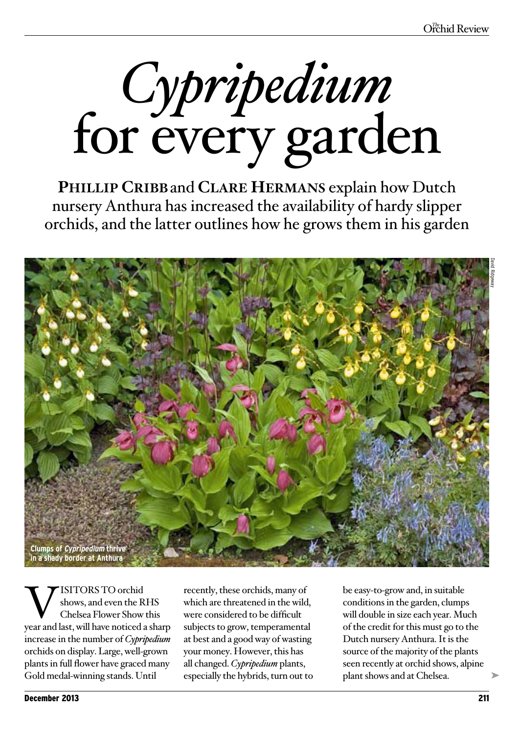*Cypripedium*  for every garden

**Phillip Cribb**and **Clare Hermans** explain how Dutch nursery Anthura has increased the availability of hardy slipper orchids, and the latter outlines how he grows them in his garden



**WE** ISITORS TO orchid<br>
Shows, and even the RHS<br>
year and last, will have noticed a sharp shows, and even the RHS Chelsea Flower Show this increase in the number of *Cypripedium*  orchids on display. Large, well-grown plants in full flower have graced many Gold medal-winning stands. Until

recently, these orchids, many of which are threatened in the wild, were considered to be difficult subjects to grow, temperamental at best and a good way of wasting your money. However, this has all changed. *Cypripedium* plants, especially the hybrids, turn out to be easy-to-grow and, in suitable conditions in the garden, clumps will double in size each year. Much of the credit for this must go to the Dutch nursery Anthura. It is the source of the majority of the plants seen recently at orchid shows, alpine plant shows and at Chelsea.

➤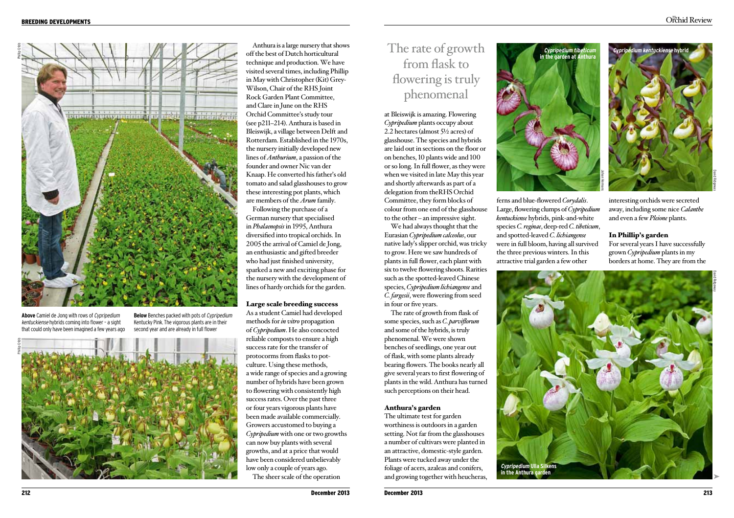

**Above** Camiel de Jong with rows of Cypripedium kentuckiense hybrids coming into flower – a sight that could only have been imagined a few years ago

**Below** Benches packed with pots of Cypripedium Kentucky Pink. The vigorous plants are in their second year and are already in full flower



Anthura is a large nursery that shows off the best of Dutch horticultural technique and production. We have visited several times, including Phillip in May with Christopher (Kit) Grey-Wilson, Chair of the RHS Joint Rock Garden Plant Committee, and Clare in June on the RHS Orchid Committee's study tour (see p211–214). Anthura is based in Bleiswijk, a village between Delft and Rotterdam. Established in the 1970s, the nursery initially developed new lines of *Anthurium*, a passion of the founder and owner Nic van der Knaap. He converted his father's old tomato and salad glasshouses to grow these interesting pot plants, which are members of the *Arum* family.

Following the purchase of a German nursery that specialised in *Phalaenopsis* in 1995, Anthura diversified into tropical orchids. In 2005 the arrival of Camiel de Jong, an enthusiastic and gifted breeder who had just finished university, sparked a new and exciting phase for the nursery with the development of lines of hardy orchids for the garden.

#### Large scale breeding success

As a student Camiel had developed methods for *in vitro* propagation of *Cypripedium*. He also concocted reliable composts to ensure a high success rate for the transfer of protocorms from flasks to potculture. Using these methods, a wide range of species and a growing number of hybrids have been grown to flowering with consistently high success rates. Over the past three or four years vigorous plants have been made available commercially. Growers accustomed to buying a *Cypripedium* with one or two growths can now buy plants with several growths, and at a price that would have been considered unbelievably low only a couple of years ago. The sheer scale of the operation

# The rate of growth from flask to flowering is truly phenomenal

at Bleiswijk is amazing. Flowering *Cypripedium* plants occupy about 2.2 hectares (almost 5½ acres) of glasshouse. The species and hybrids are laid out in sections on the floor or on benches, 10 plants wide and 100 or so long. In full flower, as they were when we visited in late May this year and shortly afterwards as part of a delegation from theRHS Orchid Committee, they form blocks of colour from one end of the glasshouse to the other – an impressive sight.

We had always thought that the Eurasian *Cypripedium calceolus*, our native lady's slipper orchid, was tricky to grow. Here we saw hundreds of plants in full flower, each plant with six to twelve flowering shoots. Rarities such as the spotted-leaved Chinese species, *Cypripedium lichiangense* and *C. fargesii*, were flowering from seed in four or five years.

The rate of growth from flask of some species, such as *C. parviflorum* and some of the hybrids, is truly phenomenal. We were shown benches of seedlings, one year out of flask, with some plants already bearing flowers. The books nearly all give several years to first flowering of plants in the wild. Anthura has turned such perceptions on their head.

## Anthura's garden

The ultimate test for garden worthiness is outdoors in a garden setting. Not far from the glasshouses a number of cultivars were planted in an attractive, domestic-style garden. Plants were tucked away under the foliage of acers, azaleas and conifers, and growing together with heucheras,



ferns and blue-flowered *Corydalis*. Large, flowering clumps of *Cypripedium kentuckiense* hybrids, pink-and-white species *C. reginae*, deep-red *C. tibeticum*, and spotted-leaved *C. lichiangense* were in full bloom, having all survived the three previous winters. In this attractive trial garden a few other



interesting orchids were secreted away, including some nice *Calanthe* and even a few *Pleione* plants.

#### In Phillip's garden

For several years I have successfully grown *Cypripedium* plants in my borders at home. They are from the